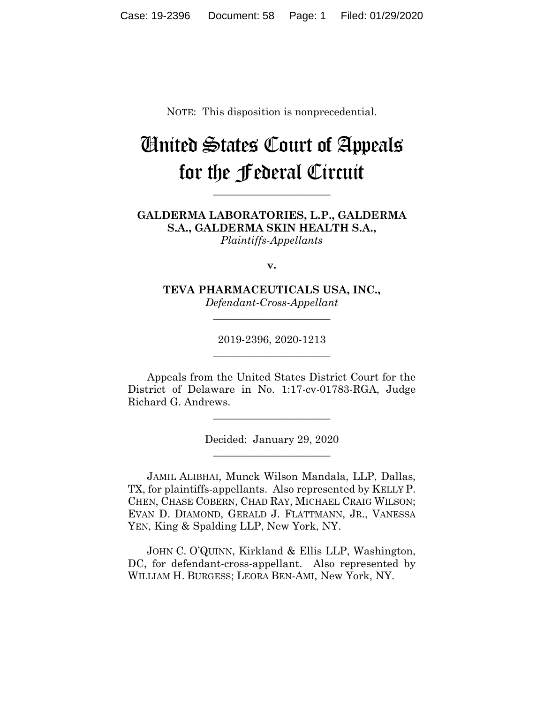NOTE: This disposition is nonprecedential.

# United States Court of Appeals for the Federal Circuit

**\_\_\_\_\_\_\_\_\_\_\_\_\_\_\_\_\_\_\_\_\_\_**

**GALDERMA LABORATORIES, L.P., GALDERMA S.A., GALDERMA SKIN HEALTH S.A.,** *Plaintiffs-Appellants*

**v.**

**TEVA PHARMACEUTICALS USA, INC.,** *Defendant-Cross-Appellant*

**\_\_\_\_\_\_\_\_\_\_\_\_\_\_\_\_\_\_\_\_\_\_**

2019-2396, 2020-1213 **\_\_\_\_\_\_\_\_\_\_\_\_\_\_\_\_\_\_\_\_\_\_**

Appeals from the United States District Court for the District of Delaware in No. 1:17-cv-01783-RGA, Judge Richard G. Andrews.

> Decided: January 29, 2020 **\_\_\_\_\_\_\_\_\_\_\_\_\_\_\_\_\_\_\_\_\_\_**

**\_\_\_\_\_\_\_\_\_\_\_\_\_\_\_\_\_\_\_\_\_\_**

JAMIL ALIBHAI, Munck Wilson Mandala, LLP, Dallas, TX, for plaintiffs-appellants. Also represented by KELLY P. CHEN, CHASE COBERN, CHAD RAY, MICHAEL CRAIG WILSON; EVAN D. DIAMOND, GERALD J. FLATTMANN, JR., VANESSA YEN, King & Spalding LLP, New York, NY.

 JOHN C. O'QUINN, Kirkland & Ellis LLP, Washington, DC, for defendant-cross-appellant. Also represented by WILLIAM H. BURGESS; LEORA BEN-AMI, New York, NY.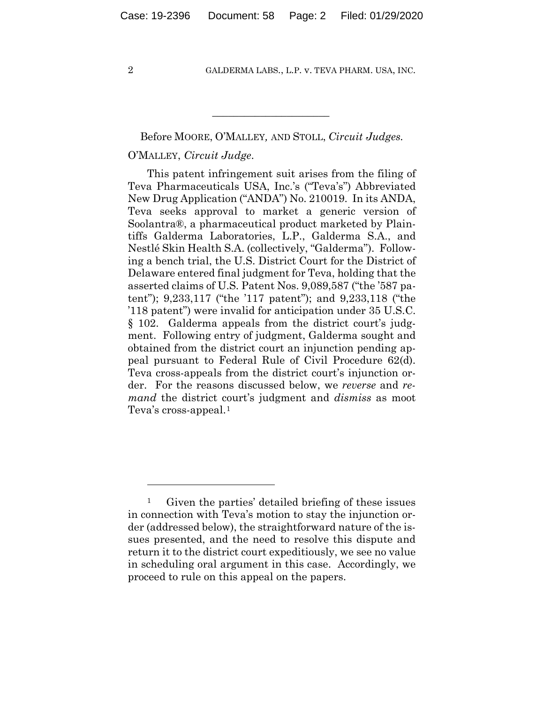#### Before MOORE, O'MALLEY*,* AND STOLL, *Circuit Judges.*

 $\mathcal{L}_\text{max}$  and  $\mathcal{L}_\text{max}$  and  $\mathcal{L}_\text{max}$  and  $\mathcal{L}_\text{max}$ 

## O'MALLEY, *Circuit Judge*.

This patent infringement suit arises from the filing of Teva Pharmaceuticals USA, Inc.'s ("Teva's") Abbreviated New Drug Application ("ANDA") No. 210019. In its ANDA, Teva seeks approval to market a generic version of Soolantra®, a pharmaceutical product marketed by Plaintiffs Galderma Laboratories, L.P., Galderma S.A., and Nestlé Skin Health S.A. (collectively, "Galderma"). Following a bench trial, the U.S. District Court for the District of Delaware entered final judgment for Teva, holding that the asserted claims of U.S. Patent Nos. 9,089,587 ("the '587 patent"); 9,233,117 ("the '117 patent"); and 9,233,118 ("the '118 patent") were invalid for anticipation under 35 U.S.C. § 102. Galderma appeals from the district court's judgment. Following entry of judgment, Galderma sought and obtained from the district court an injunction pending appeal pursuant to Federal Rule of Civil Procedure 62(d). Teva cross-appeals from the district court's injunction order. For the reasons discussed below, we *reverse* and *remand* the district court's judgment and *dismiss* as moot Teva's cross-appeal.1

<sup>1</sup> Given the parties' detailed briefing of these issues in connection with Teva's motion to stay the injunction order (addressed below), the straightforward nature of the issues presented, and the need to resolve this dispute and return it to the district court expeditiously, we see no value in scheduling oral argument in this case. Accordingly, we proceed to rule on this appeal on the papers.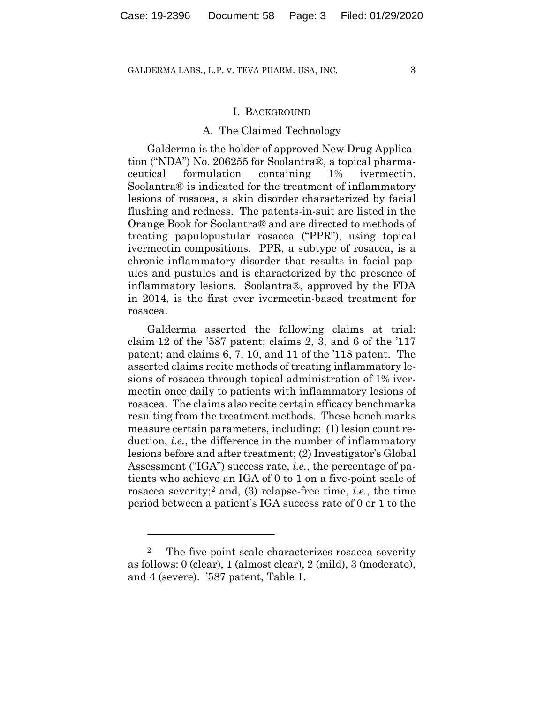#### I. BACKGROUND

#### A. The Claimed Technology

Galderma is the holder of approved New Drug Application ("NDA") No. 206255 for Soolantra®, a topical pharmaceutical formulation containing 1% ivermectin. Soolantra® is indicated for the treatment of inflammatory lesions of rosacea, a skin disorder characterized by facial flushing and redness. The patents-in-suit are listed in the Orange Book for Soolantra® and are directed to methods of treating papulopustular rosacea ("PPR"), using topical ivermectin compositions. PPR, a subtype of rosacea, is a chronic inflammatory disorder that results in facial papules and pustules and is characterized by the presence of inflammatory lesions. Soolantra®, approved by the FDA in 2014, is the first ever ivermectin-based treatment for rosacea.

Galderma asserted the following claims at trial: claim 12 of the '587 patent; claims 2, 3, and 6 of the '117 patent; and claims 6, 7, 10, and 11 of the '118 patent. The asserted claims recite methods of treating inflammatory lesions of rosacea through topical administration of 1% ivermectin once daily to patients with inflammatory lesions of rosacea. The claims also recite certain efficacy benchmarks resulting from the treatment methods. These bench marks measure certain parameters, including: (1) lesion count reduction, *i.e.*, the difference in the number of inflammatory lesions before and after treatment; (2) Investigator's Global Assessment ("IGA") success rate, *i.e.*, the percentage of patients who achieve an IGA of 0 to 1 on a five-point scale of rosacea severity;2 and, (3) relapse-free time, *i.e.*, the time period between a patient's IGA success rate of 0 or 1 to the

<sup>2</sup> The five-point scale characterizes rosacea severity as follows: 0 (clear), 1 (almost clear), 2 (mild), 3 (moderate), and 4 (severe). '587 patent, Table 1.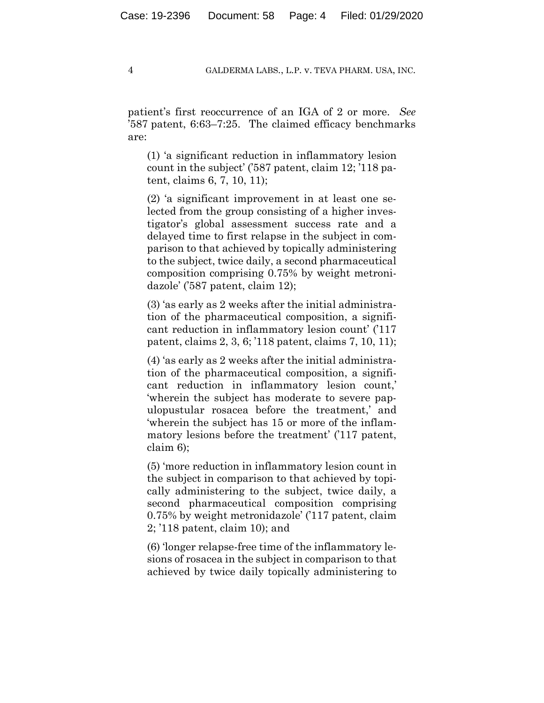patient's first reoccurrence of an IGA of 2 or more. *See*  '587 patent, 6:63–7:25. The claimed efficacy benchmarks are:

(1) 'a significant reduction in inflammatory lesion count in the subject' ('587 patent, claim 12; '118 patent, claims 6, 7, 10, 11);

(2) 'a significant improvement in at least one selected from the group consisting of a higher investigator's global assessment success rate and a delayed time to first relapse in the subject in comparison to that achieved by topically administering to the subject, twice daily, a second pharmaceutical composition comprising 0.75% by weight metronidazole' ('587 patent, claim 12);

(3) 'as early as 2 weeks after the initial administration of the pharmaceutical composition, a significant reduction in inflammatory lesion count' ('117 patent, claims 2, 3, 6; '118 patent, claims 7, 10, 11);

(4) 'as early as 2 weeks after the initial administration of the pharmaceutical composition, a significant reduction in inflammatory lesion count,' 'wherein the subject has moderate to severe papulopustular rosacea before the treatment,' and 'wherein the subject has 15 or more of the inflammatory lesions before the treatment' ('117 patent, claim 6);

(5) 'more reduction in inflammatory lesion count in the subject in comparison to that achieved by topically administering to the subject, twice daily, a second pharmaceutical composition comprising 0.75% by weight metronidazole' ('117 patent, claim 2; '118 patent, claim 10); and

(6) 'longer relapse-free time of the inflammatory lesions of rosacea in the subject in comparison to that achieved by twice daily topically administering to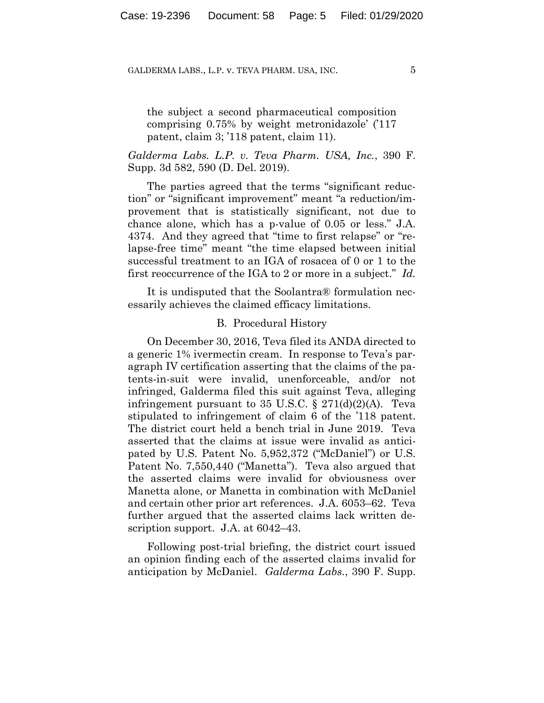the subject a second pharmaceutical composition comprising 0.75% by weight metronidazole' ('117 patent, claim 3; '118 patent, claim 11).

## *Galderma Labs. L.P. v. Teva Pharm. USA, Inc.*, 390 F. Supp. 3d 582, 590 (D. Del. 2019).

The parties agreed that the terms "significant reduction" or "significant improvement" meant "a reduction/improvement that is statistically significant, not due to chance alone, which has a p-value of 0.05 or less." J.A. 4374. And they agreed that "time to first relapse" or "relapse-free time" meant "the time elapsed between initial successful treatment to an IGA of rosacea of 0 or 1 to the first reoccurrence of the IGA to 2 or more in a subject." *Id.* 

It is undisputed that the Soolantra® formulation necessarily achieves the claimed efficacy limitations.

#### B. Procedural History

On December 30, 2016, Teva filed its ANDA directed to a generic 1% ivermectin cream. In response to Teva's paragraph IV certification asserting that the claims of the patents-in-suit were invalid, unenforceable, and/or not infringed, Galderma filed this suit against Teva, alleging infringement pursuant to 35 U.S.C.  $\S 271(d)(2)(A)$ . Teva stipulated to infringement of claim 6 of the '118 patent. The district court held a bench trial in June 2019. Teva asserted that the claims at issue were invalid as anticipated by U.S. Patent No. 5,952,372 ("McDaniel") or U.S. Patent No. 7,550,440 ("Manetta"). Teva also argued that the asserted claims were invalid for obviousness over Manetta alone, or Manetta in combination with McDaniel and certain other prior art references. J.A. 6053–62. Teva further argued that the asserted claims lack written description support. J.A. at 6042–43.

Following post-trial briefing, the district court issued an opinion finding each of the asserted claims invalid for anticipation by McDaniel. *Galderma Labs.*, 390 F. Supp.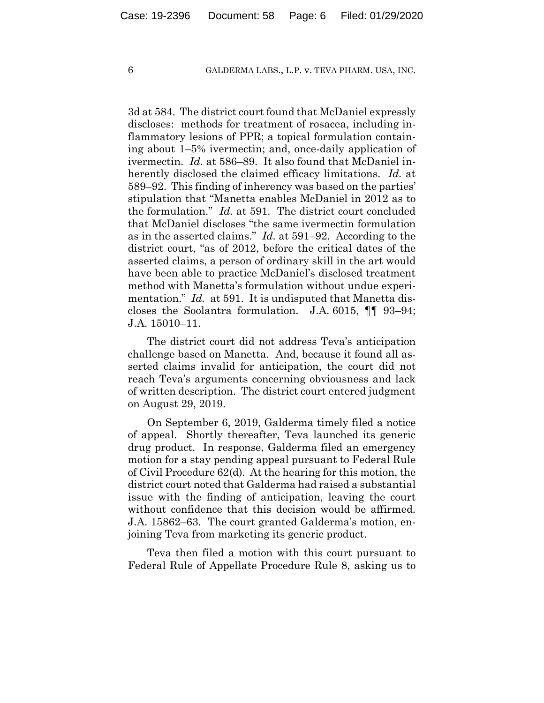3d at 584. The district court found that McDaniel expressly discloses: methods for treatment of rosacea, including inflammatory lesions of PPR; a topical formulation containing about 1–5% ivermectin; and, once-daily application of ivermectin. *Id.* at 586–89. It also found that McDaniel inherently disclosed the claimed efficacy limitations. *Id.* at 589–92. This finding of inherency was based on the parties' stipulation that "Manetta enables McDaniel in 2012 as to the formulation." *Id.* at 591. The district court concluded that McDaniel discloses "the same ivermectin formulation as in the asserted claims." *Id.* at 591–92. According to the district court, "as of 2012, before the critical dates of the asserted claims, a person of ordinary skill in the art would have been able to practice McDaniel's disclosed treatment method with Manetta's formulation without undue experimentation." *Id.* at 591. It is undisputed that Manetta discloses the Soolantra formulation. J.A. 6015, ¶¶ 93–94; J.A. 15010–11.

The district court did not address Teva's anticipation challenge based on Manetta. And, because it found all asserted claims invalid for anticipation, the court did not reach Teva's arguments concerning obviousness and lack of written description. The district court entered judgment on August 29, 2019.

On September 6, 2019, Galderma timely filed a notice of appeal. Shortly thereafter, Teva launched its generic drug product. In response, Galderma filed an emergency motion for a stay pending appeal pursuant to Federal Rule of Civil Procedure 62(d). At the hearing for this motion, the district court noted that Galderma had raised a substantial issue with the finding of anticipation, leaving the court without confidence that this decision would be affirmed. J.A. 15862–63. The court granted Galderma's motion, enjoining Teva from marketing its generic product.

Teva then filed a motion with this court pursuant to Federal Rule of Appellate Procedure Rule 8, asking us to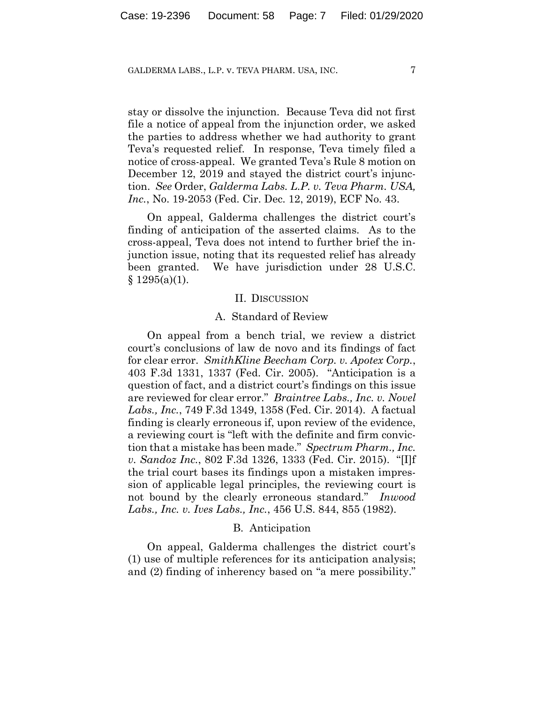stay or dissolve the injunction. Because Teva did not first file a notice of appeal from the injunction order, we asked the parties to address whether we had authority to grant Teva's requested relief. In response, Teva timely filed a notice of cross-appeal. We granted Teva's Rule 8 motion on December 12, 2019 and stayed the district court's injunction. *See* Order, *Galderma Labs. L.P. v. Teva Pharm. USA, Inc.*, No. 19-2053 (Fed. Cir. Dec. 12, 2019), ECF No. 43.

On appeal, Galderma challenges the district court's finding of anticipation of the asserted claims. As to the cross-appeal, Teva does not intend to further brief the injunction issue, noting that its requested relief has already been granted. We have jurisdiction under 28 U.S.C.  $§ 1295(a)(1).$ 

#### II. DISCUSSION

#### A. Standard of Review

On appeal from a bench trial, we review a district court's conclusions of law de novo and its findings of fact for clear error. *SmithKline Beecham Corp. v. Apotex Corp.*, 403 F.3d 1331, 1337 (Fed. Cir. 2005). "Anticipation is a question of fact, and a district court's findings on this issue are reviewed for clear error." *Braintree Labs., Inc. v. Novel Labs., Inc.*, 749 F.3d 1349, 1358 (Fed. Cir. 2014). A factual finding is clearly erroneous if, upon review of the evidence, a reviewing court is "left with the definite and firm conviction that a mistake has been made." *Spectrum Pharm., Inc. v. Sandoz Inc.*, 802 F.3d 1326, 1333 (Fed. Cir. 2015). "[I]f the trial court bases its findings upon a mistaken impression of applicable legal principles, the reviewing court is not bound by the clearly erroneous standard." *Inwood Labs., Inc. v. Ives Labs., Inc.*, 456 U.S. 844, 855 (1982).

#### B. Anticipation

On appeal, Galderma challenges the district court's (1) use of multiple references for its anticipation analysis; and (2) finding of inherency based on "a mere possibility."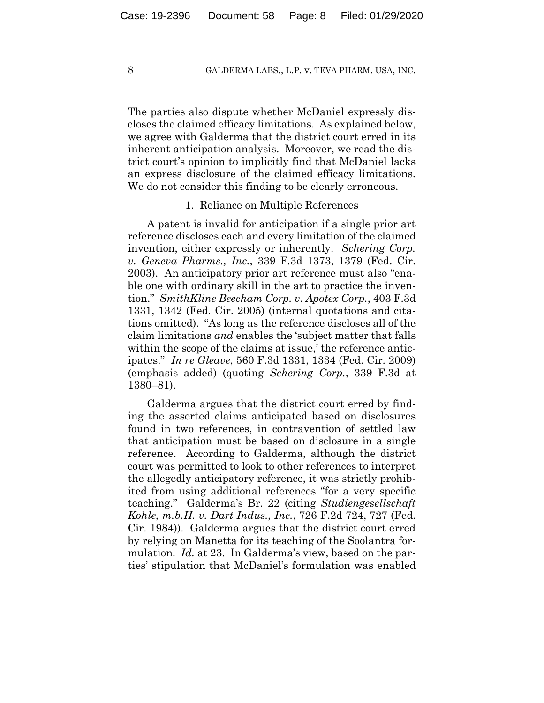The parties also dispute whether McDaniel expressly discloses the claimed efficacy limitations. As explained below, we agree with Galderma that the district court erred in its inherent anticipation analysis. Moreover, we read the district court's opinion to implicitly find that McDaniel lacks an express disclosure of the claimed efficacy limitations. We do not consider this finding to be clearly erroneous.

#### 1. Reliance on Multiple References

A patent is invalid for anticipation if a single prior art reference discloses each and every limitation of the claimed invention, either expressly or inherently. *Schering Corp. v. Geneva Pharms., Inc.*, 339 F.3d 1373, 1379 (Fed. Cir. 2003). An anticipatory prior art reference must also "enable one with ordinary skill in the art to practice the invention." *SmithKline Beecham Corp. v. Apotex Corp.*, 403 F.3d 1331, 1342 (Fed. Cir. 2005) (internal quotations and citations omitted). "As long as the reference discloses all of the claim limitations *and* enables the 'subject matter that falls within the scope of the claims at issue,' the reference anticipates." *In re Gleave*, 560 F.3d 1331, 1334 (Fed. Cir. 2009) (emphasis added) (quoting *Schering Corp.*, 339 F.3d at 1380–81).

Galderma argues that the district court erred by finding the asserted claims anticipated based on disclosures found in two references, in contravention of settled law that anticipation must be based on disclosure in a single reference. According to Galderma, although the district court was permitted to look to other references to interpret the allegedly anticipatory reference, it was strictly prohibited from using additional references "for a very specific teaching." Galderma's Br. 22 (citing *Studiengesellschaft Kohle, m.b.H. v. Dart Indus., Inc.*, 726 F.2d 724, 727 (Fed. Cir. 1984)). Galderma argues that the district court erred by relying on Manetta for its teaching of the Soolantra formulation. *Id.* at 23. In Galderma's view, based on the parties' stipulation that McDaniel's formulation was enabled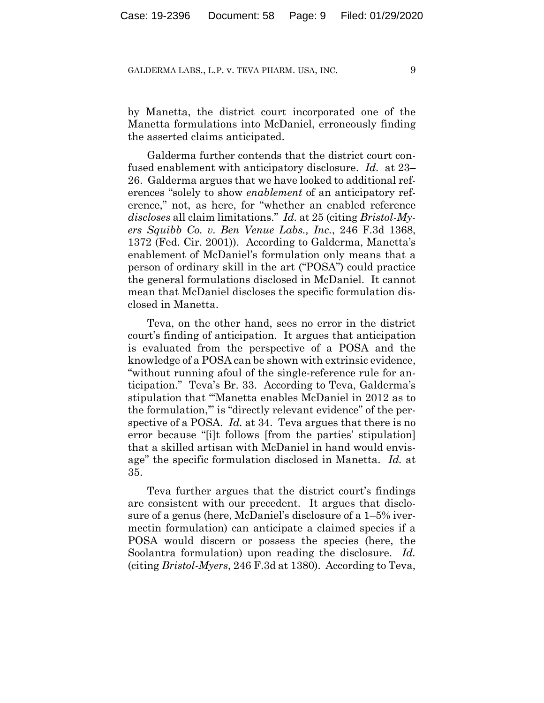by Manetta, the district court incorporated one of the Manetta formulations into McDaniel, erroneously finding the asserted claims anticipated.

Galderma further contends that the district court confused enablement with anticipatory disclosure. *Id.* at 23– 26. Galderma argues that we have looked to additional references "solely to show *enablement* of an anticipatory reference," not, as here, for "whether an enabled reference *discloses* all claim limitations." *Id.* at 25 (citing *Bristol-Myers Squibb Co. v. Ben Venue Labs., Inc.*, 246 F.3d 1368, 1372 (Fed. Cir. 2001)). According to Galderma, Manetta's enablement of McDaniel's formulation only means that a person of ordinary skill in the art ("POSA") could practice the general formulations disclosed in McDaniel. It cannot mean that McDaniel discloses the specific formulation disclosed in Manetta.

Teva, on the other hand, sees no error in the district court's finding of anticipation. It argues that anticipation is evaluated from the perspective of a POSA and the knowledge of a POSA can be shown with extrinsic evidence, "without running afoul of the single-reference rule for anticipation." Teva's Br. 33. According to Teva, Galderma's stipulation that "'Manetta enables McDaniel in 2012 as to the formulation,'" is "directly relevant evidence" of the perspective of a POSA. *Id.* at 34. Teva argues that there is no error because "[i]t follows [from the parties' stipulation] that a skilled artisan with McDaniel in hand would envisage" the specific formulation disclosed in Manetta. *Id.* at 35.

Teva further argues that the district court's findings are consistent with our precedent. It argues that disclosure of a genus (here, McDaniel's disclosure of a 1–5% ivermectin formulation) can anticipate a claimed species if a POSA would discern or possess the species (here, the Soolantra formulation) upon reading the disclosure. *Id.* (citing *Bristol-Myers*, 246 F.3d at 1380). According to Teva,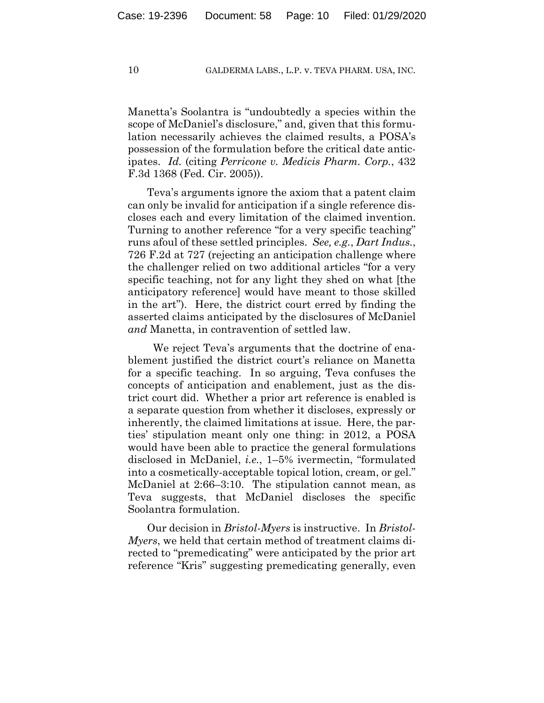Manetta's Soolantra is "undoubtedly a species within the scope of McDaniel's disclosure," and, given that this formulation necessarily achieves the claimed results, a POSA's possession of the formulation before the critical date anticipates. *Id.* (citing *Perricone v. Medicis Pharm. Corp.*, 432 F.3d 1368 (Fed. Cir. 2005)).

Teva's arguments ignore the axiom that a patent claim can only be invalid for anticipation if a single reference discloses each and every limitation of the claimed invention. Turning to another reference "for a very specific teaching" runs afoul of these settled principles. *See, e.g.*, *Dart Indus.*, 726 F.2d at 727 (rejecting an anticipation challenge where the challenger relied on two additional articles "for a very specific teaching, not for any light they shed on what [the anticipatory reference] would have meant to those skilled in the art"). Here, the district court erred by finding the asserted claims anticipated by the disclosures of McDaniel *and* Manetta, in contravention of settled law.

 We reject Teva's arguments that the doctrine of enablement justified the district court's reliance on Manetta for a specific teaching. In so arguing, Teva confuses the concepts of anticipation and enablement, just as the district court did. Whether a prior art reference is enabled is a separate question from whether it discloses, expressly or inherently, the claimed limitations at issue. Here, the parties' stipulation meant only one thing: in 2012, a POSA would have been able to practice the general formulations disclosed in McDaniel, *i.e.*, 1–5% ivermectin, "formulated into a cosmetically-acceptable topical lotion, cream, or gel." McDaniel at 2:66–3:10. The stipulation cannot mean, as Teva suggests, that McDaniel discloses the specific Soolantra formulation.

Our decision in *Bristol-Myers* is instructive. In *Bristol-Myers*, we held that certain method of treatment claims directed to "premedicating" were anticipated by the prior art reference "Kris" suggesting premedicating generally, even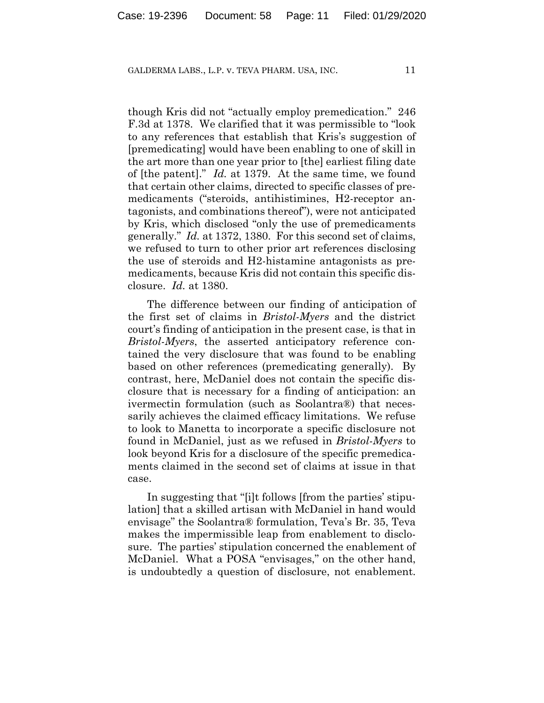though Kris did not "actually employ premedication." 246 F.3d at 1378. We clarified that it was permissible to "look to any references that establish that Kris's suggestion of [premedicating] would have been enabling to one of skill in the art more than one year prior to [the] earliest filing date of [the patent]." *Id.* at 1379. At the same time, we found that certain other claims, directed to specific classes of premedicaments ("steroids, antihistimines, H2-receptor antagonists, and combinations thereof"), were not anticipated by Kris, which disclosed "only the use of premedicaments generally." *Id.* at 1372, 1380. For this second set of claims, we refused to turn to other prior art references disclosing the use of steroids and H2-histamine antagonists as premedicaments, because Kris did not contain this specific disclosure. *Id.* at 1380.

The difference between our finding of anticipation of the first set of claims in *Bristol-Myers* and the district court's finding of anticipation in the present case, is that in *Bristol-Myers*, the asserted anticipatory reference contained the very disclosure that was found to be enabling based on other references (premedicating generally). By contrast, here, McDaniel does not contain the specific disclosure that is necessary for a finding of anticipation: an ivermectin formulation (such as Soolantra®) that necessarily achieves the claimed efficacy limitations. We refuse to look to Manetta to incorporate a specific disclosure not found in McDaniel, just as we refused in *Bristol-Myers* to look beyond Kris for a disclosure of the specific premedicaments claimed in the second set of claims at issue in that case.

In suggesting that "[i]t follows [from the parties' stipulation] that a skilled artisan with McDaniel in hand would envisage" the Soolantra® formulation, Teva's Br. 35, Teva makes the impermissible leap from enablement to disclosure. The parties' stipulation concerned the enablement of McDaniel. What a POSA "envisages," on the other hand, is undoubtedly a question of disclosure, not enablement.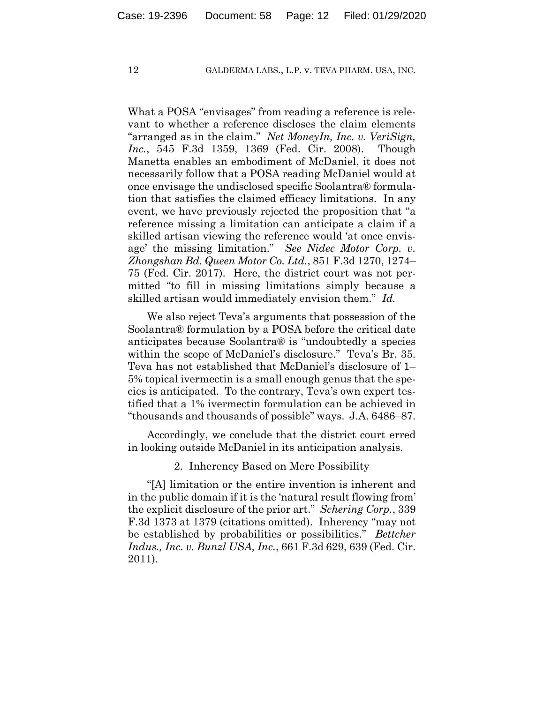What a POSA "envisages" from reading a reference is relevant to whether a reference discloses the claim elements "arranged as in the claim." *Net MoneyIn, Inc. v. VeriSign, Inc.*, 545 F.3d 1359, 1369 (Fed. Cir. 2008). Though Manetta enables an embodiment of McDaniel, it does not necessarily follow that a POSA reading McDaniel would at once envisage the undisclosed specific Soolantra® formulation that satisfies the claimed efficacy limitations. In any event, we have previously rejected the proposition that "a reference missing a limitation can anticipate a claim if a skilled artisan viewing the reference would 'at once envisage' the missing limitation." *See Nidec Motor Corp. v. Zhongshan Bd. Queen Motor Co. Ltd.*, 851 F.3d 1270, 1274– 75 (Fed. Cir. 2017). Here, the district court was not permitted "to fill in missing limitations simply because a skilled artisan would immediately envision them." *Id.*

We also reject Teva's arguments that possession of the Soolantra® formulation by a POSA before the critical date anticipates because Soolantra® is "undoubtedly a species within the scope of McDaniel's disclosure." Teva's Br. 35. Teva has not established that McDaniel's disclosure of 1– 5% topical ivermectin is a small enough genus that the species is anticipated. To the contrary, Teva's own expert testified that a 1% ivermectin formulation can be achieved in "thousands and thousands of possible" ways. J.A. 6486–87.

Accordingly, we conclude that the district court erred in looking outside McDaniel in its anticipation analysis.

2. Inherency Based on Mere Possibility

"[A] limitation or the entire invention is inherent and in the public domain if it is the 'natural result flowing from' the explicit disclosure of the prior art." *Schering Corp.*, 339 F.3d 1373 at 1379 (citations omitted). Inherency "may not be established by probabilities or possibilities." *Bettcher Indus., Inc. v. Bunzl USA, Inc.*, 661 F.3d 629, 639 (Fed. Cir. 2011).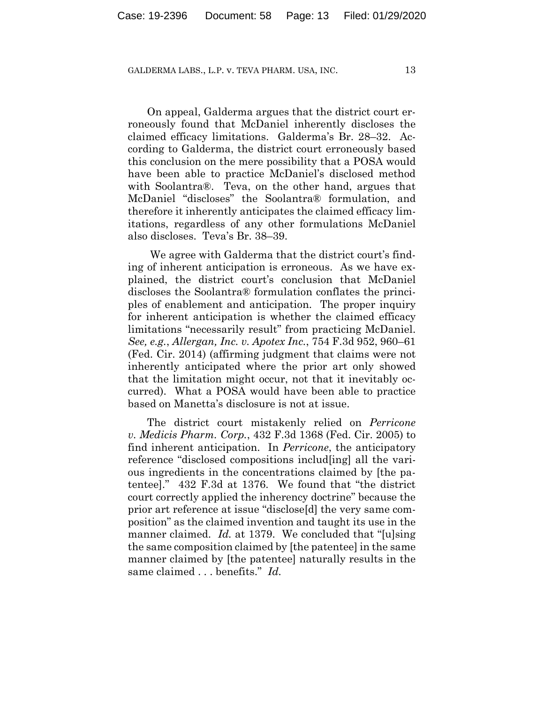On appeal, Galderma argues that the district court erroneously found that McDaniel inherently discloses the claimed efficacy limitations. Galderma's Br. 28–32. According to Galderma, the district court erroneously based this conclusion on the mere possibility that a POSA would have been able to practice McDaniel's disclosed method with Soolantra®. Teva, on the other hand, argues that McDaniel "discloses" the Soolantra® formulation, and therefore it inherently anticipates the claimed efficacy limitations, regardless of any other formulations McDaniel also discloses. Teva's Br. 38–39.

We agree with Galderma that the district court's finding of inherent anticipation is erroneous. As we have explained, the district court's conclusion that McDaniel discloses the Soolantra® formulation conflates the principles of enablement and anticipation. The proper inquiry for inherent anticipation is whether the claimed efficacy limitations "necessarily result" from practicing McDaniel. *See, e.g.*, *Allergan, Inc. v. Apotex Inc.*, 754 F.3d 952, 960–61 (Fed. Cir. 2014) (affirming judgment that claims were not inherently anticipated where the prior art only showed that the limitation might occur, not that it inevitably occurred). What a POSA would have been able to practice based on Manetta's disclosure is not at issue.

The district court mistakenly relied on *Perricone v. Medicis Pharm. Corp.*, 432 F.3d 1368 (Fed. Cir. 2005) to find inherent anticipation. In *Perricone*, the anticipatory reference "disclosed compositions includ[ing] all the various ingredients in the concentrations claimed by [the patentee]." 432 F.3d at 1376. We found that "the district court correctly applied the inherency doctrine" because the prior art reference at issue "disclose[d] the very same composition" as the claimed invention and taught its use in the manner claimed. *Id.* at 1379. We concluded that "[u]sing the same composition claimed by [the patentee] in the same manner claimed by [the patentee] naturally results in the same claimed . . . benefits." *Id.*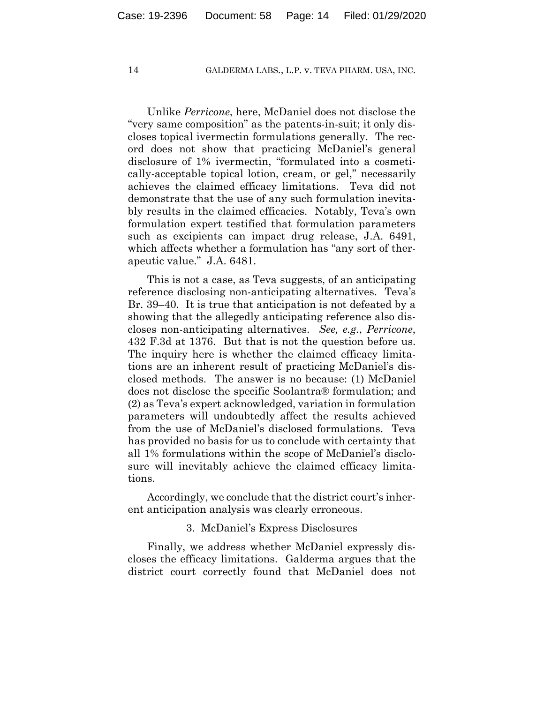Unlike *Perricone*, here, McDaniel does not disclose the "very same composition" as the patents-in-suit; it only discloses topical ivermectin formulations generally. The record does not show that practicing McDaniel's general disclosure of 1% ivermectin, "formulated into a cosmetically-acceptable topical lotion, cream, or gel," necessarily achieves the claimed efficacy limitations. Teva did not demonstrate that the use of any such formulation inevitably results in the claimed efficacies. Notably, Teva's own formulation expert testified that formulation parameters such as excipients can impact drug release, J.A. 6491, which affects whether a formulation has "any sort of therapeutic value." J.A. 6481.

This is not a case, as Teva suggests, of an anticipating reference disclosing non-anticipating alternatives. Teva's Br. 39–40. It is true that anticipation is not defeated by a showing that the allegedly anticipating reference also discloses non-anticipating alternatives. *See, e.g.*, *Perricone*, 432 F.3d at 1376. But that is not the question before us. The inquiry here is whether the claimed efficacy limitations are an inherent result of practicing McDaniel's disclosed methods. The answer is no because: (1) McDaniel does not disclose the specific Soolantra® formulation; and (2) as Teva's expert acknowledged, variation in formulation parameters will undoubtedly affect the results achieved from the use of McDaniel's disclosed formulations. Teva has provided no basis for us to conclude with certainty that all 1% formulations within the scope of McDaniel's disclosure will inevitably achieve the claimed efficacy limitations.

Accordingly, we conclude that the district court's inherent anticipation analysis was clearly erroneous.

## 3. McDaniel's Express Disclosures

Finally, we address whether McDaniel expressly discloses the efficacy limitations. Galderma argues that the district court correctly found that McDaniel does not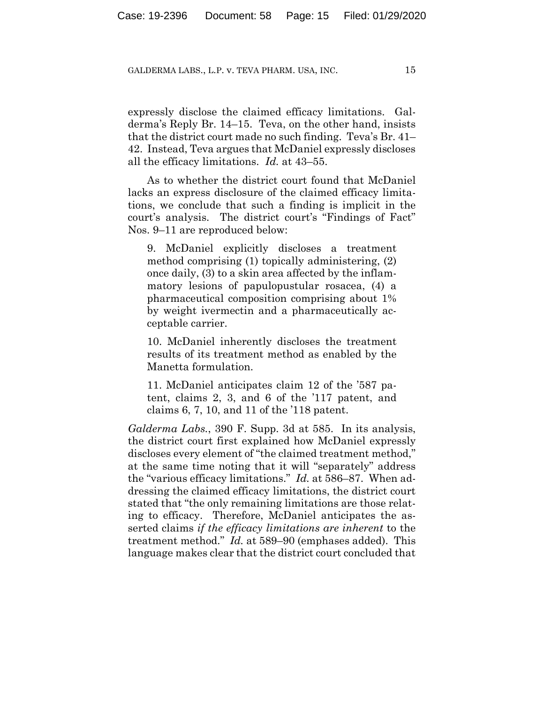expressly disclose the claimed efficacy limitations. Galderma's Reply Br. 14–15. Teva, on the other hand, insists that the district court made no such finding. Teva's Br. 41– 42. Instead, Teva argues that McDaniel expressly discloses all the efficacy limitations. *Id.* at 43–55.

As to whether the district court found that McDaniel lacks an express disclosure of the claimed efficacy limitations, we conclude that such a finding is implicit in the court's analysis. The district court's "Findings of Fact" Nos. 9–11 are reproduced below:

9. McDaniel explicitly discloses a treatment method comprising (1) topically administering, (2) once daily, (3) to a skin area affected by the inflammatory lesions of papulopustular rosacea, (4) a pharmaceutical composition comprising about 1% by weight ivermectin and a pharmaceutically acceptable carrier.

10. McDaniel inherently discloses the treatment results of its treatment method as enabled by the Manetta formulation.

11. McDaniel anticipates claim 12 of the '587 patent, claims 2, 3, and 6 of the '117 patent, and claims 6, 7, 10, and 11 of the '118 patent.

*Galderma Labs.*, 390 F. Supp. 3d at 585. In its analysis, the district court first explained how McDaniel expressly discloses every element of "the claimed treatment method," at the same time noting that it will "separately" address the "various efficacy limitations." *Id.* at 586–87. When addressing the claimed efficacy limitations, the district court stated that "the only remaining limitations are those relating to efficacy. Therefore, McDaniel anticipates the asserted claims *if the efficacy limitations are inherent* to the treatment method." *Id.* at 589–90 (emphases added). This language makes clear that the district court concluded that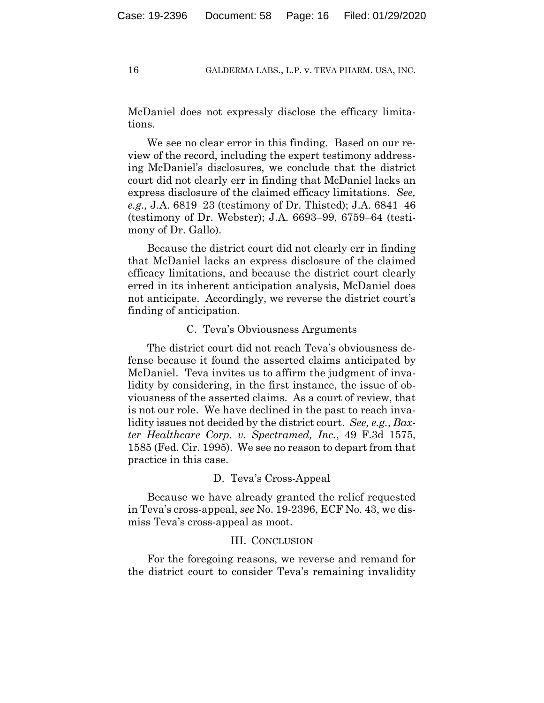McDaniel does not expressly disclose the efficacy limitations.

We see no clear error in this finding. Based on our review of the record, including the expert testimony addressing McDaniel's disclosures, we conclude that the district court did not clearly err in finding that McDaniel lacks an express disclosure of the claimed efficacy limitations. *See, e.g.,* J.A. 6819–23 (testimony of Dr. Thisted); J.A. 6841–46 (testimony of Dr. Webster); J.A. 6693–99, 6759–64 (testimony of Dr. Gallo).

Because the district court did not clearly err in finding that McDaniel lacks an express disclosure of the claimed efficacy limitations, and because the district court clearly erred in its inherent anticipation analysis, McDaniel does not anticipate. Accordingly, we reverse the district court's finding of anticipation.

#### C. Teva's Obviousness Arguments

The district court did not reach Teva's obviousness defense because it found the asserted claims anticipated by McDaniel. Teva invites us to affirm the judgment of invalidity by considering, in the first instance, the issue of obviousness of the asserted claims. As a court of review, that is not our role. We have declined in the past to reach invalidity issues not decided by the district court. *See, e.g.*, *Baxter Healthcare Corp. v. Spectramed, Inc.*, 49 F.3d 1575, 1585 (Fed. Cir. 1995). We see no reason to depart from that practice in this case.

### D. Teva's Cross-Appeal

Because we have already granted the relief requested in Teva's cross-appeal, *see* No. 19-2396, ECF No. 43, we dismiss Teva's cross-appeal as moot.

#### III. CONCLUSION

For the foregoing reasons, we reverse and remand for the district court to consider Teva's remaining invalidity